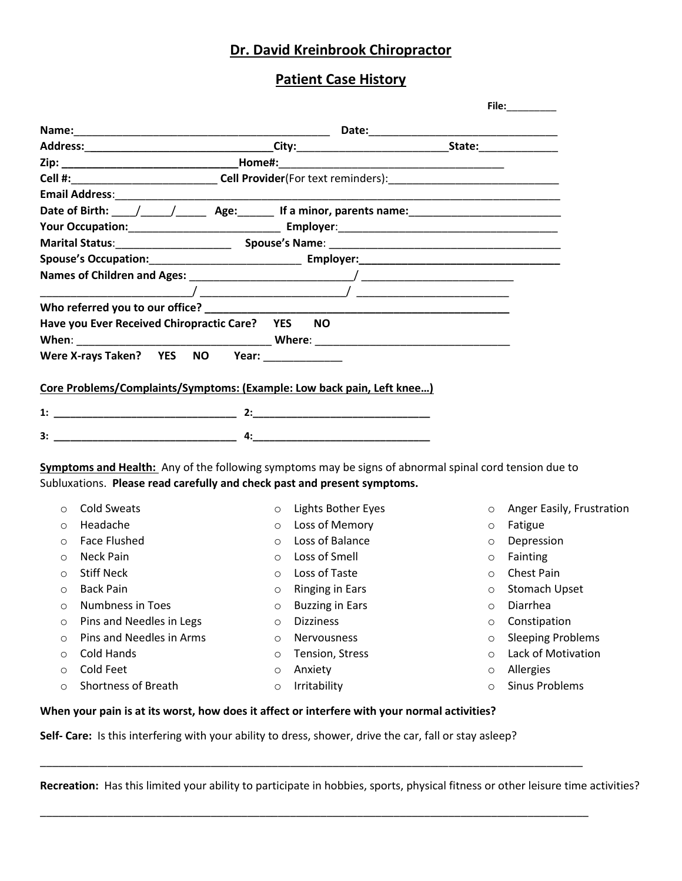## **Dr. David Kreinbrook Chiropractor**

## **Patient Case History**

|                                                                                                                |                                   |            | File: The contract of the contract of the contract of the contract of the contract of the contract of the contract of the contract of the contract of the contract of the contract of the contract of the contract of the cont |
|----------------------------------------------------------------------------------------------------------------|-----------------------------------|------------|--------------------------------------------------------------------------------------------------------------------------------------------------------------------------------------------------------------------------------|
|                                                                                                                |                                   |            |                                                                                                                                                                                                                                |
|                                                                                                                |                                   |            |                                                                                                                                                                                                                                |
|                                                                                                                |                                   |            |                                                                                                                                                                                                                                |
|                                                                                                                |                                   |            |                                                                                                                                                                                                                                |
|                                                                                                                |                                   |            |                                                                                                                                                                                                                                |
| Date of Birth: \____/ _____/ _________ Age: \_________ If a minor, parents name: \____________________________ |                                   |            |                                                                                                                                                                                                                                |
|                                                                                                                |                                   |            |                                                                                                                                                                                                                                |
|                                                                                                                |                                   |            |                                                                                                                                                                                                                                |
|                                                                                                                |                                   |            |                                                                                                                                                                                                                                |
|                                                                                                                |                                   |            |                                                                                                                                                                                                                                |
|                                                                                                                |                                   |            |                                                                                                                                                                                                                                |
|                                                                                                                |                                   |            |                                                                                                                                                                                                                                |
| Have you Ever Received Chiropractic Care? YES                                                                  | NO.                               |            |                                                                                                                                                                                                                                |
|                                                                                                                |                                   |            |                                                                                                                                                                                                                                |
| Were X-rays Taken? YES NO Year:                                                                                |                                   |            |                                                                                                                                                                                                                                |
|                                                                                                                |                                   |            |                                                                                                                                                                                                                                |
| Core Problems/Complaints/Symptoms: (Example: Low back pain, Left knee)                                         |                                   |            |                                                                                                                                                                                                                                |
|                                                                                                                |                                   |            |                                                                                                                                                                                                                                |
|                                                                                                                |                                   |            |                                                                                                                                                                                                                                |
|                                                                                                                |                                   |            |                                                                                                                                                                                                                                |
| Symptoms and Health: Any of the following symptoms may be signs of abnormal spinal cord tension due to         |                                   |            |                                                                                                                                                                                                                                |
| Subluxations. Please read carefully and check past and present symptoms.                                       |                                   |            |                                                                                                                                                                                                                                |
| <b>Cold Sweats</b><br>$\circ$                                                                                  | Lights Bother Eyes<br>$\circ$     | $\circ$    | Anger Easily, Frustration                                                                                                                                                                                                      |
| Headache<br>$\circ$                                                                                            | Loss of Memory<br>$\circ$         | $\circ$    | Fatigue                                                                                                                                                                                                                        |
| <b>Face Flushed</b><br>$\circ$                                                                                 | Loss of Balance<br>$\circ$        | $\circ$    | Depression                                                                                                                                                                                                                     |
| Neck Pain<br>$\circ$                                                                                           | Loss of Smell<br>$\circ$          | $\circ$    | Fainting                                                                                                                                                                                                                       |
| <b>Stiff Neck</b><br>$\circ$                                                                                   | Loss of Taste<br>$\circ$          | $\bigcirc$ | Chest Pain                                                                                                                                                                                                                     |
| <b>Back Pain</b><br>$\circ$                                                                                    | <b>Ringing in Ears</b><br>$\circ$ | $\circ$    | Stomach Upset                                                                                                                                                                                                                  |
| <b>Numbness in Toes</b><br>O                                                                                   | <b>Buzzing in Ears</b><br>O       | $\circ$    | Diarrhea                                                                                                                                                                                                                       |
| Pins and Needles in Legs<br>$\circ$                                                                            | <b>Dizziness</b><br>$\circ$       | $\circ$    | Constipation                                                                                                                                                                                                                   |
| Pins and Needles in Arms<br>O                                                                                  | Nervousness<br>$\circ$            | $\circ$    | <b>Sleeping Problems</b>                                                                                                                                                                                                       |
| Cold Hands<br>$\circ$                                                                                          | Tension, Stress<br>$\circ$        | $\circ$    | Lack of Motivation                                                                                                                                                                                                             |
| Cold Feet<br>$\circ$                                                                                           | Anxiety<br>O                      | $\circ$    | Allergies                                                                                                                                                                                                                      |
| Shortness of Breath<br>$\circ$                                                                                 | Irritability<br>$\circ$           | $\circ$    | <b>Sinus Problems</b>                                                                                                                                                                                                          |
|                                                                                                                |                                   |            |                                                                                                                                                                                                                                |

**When your pain is at its worst, how does it affect or interfere with your normal activities?**

**Self- Care:** Is this interfering with your ability to dress, shower, drive the car, fall or stay asleep?

**Recreation:** Has this limited your ability to participate in hobbies, sports, physical fitness or other leisure time activities?

\_\_\_\_\_\_\_\_\_\_\_\_\_\_\_\_\_\_\_\_\_\_\_\_\_\_\_\_\_\_\_\_\_\_\_\_\_\_\_\_\_\_\_\_\_\_\_\_\_\_\_\_\_\_\_\_\_\_\_\_\_\_\_\_\_\_\_\_\_\_\_\_\_\_\_\_\_\_\_\_\_\_\_\_\_\_\_\_\_

\_\_\_\_\_\_\_\_\_\_\_\_\_\_\_\_\_\_\_\_\_\_\_\_\_\_\_\_\_\_\_\_\_\_\_\_\_\_\_\_\_\_\_\_\_\_\_\_\_\_\_\_\_\_\_\_\_\_\_\_\_\_\_\_\_\_\_\_\_\_\_\_\_\_\_\_\_\_\_\_\_\_\_\_\_\_\_\_\_\_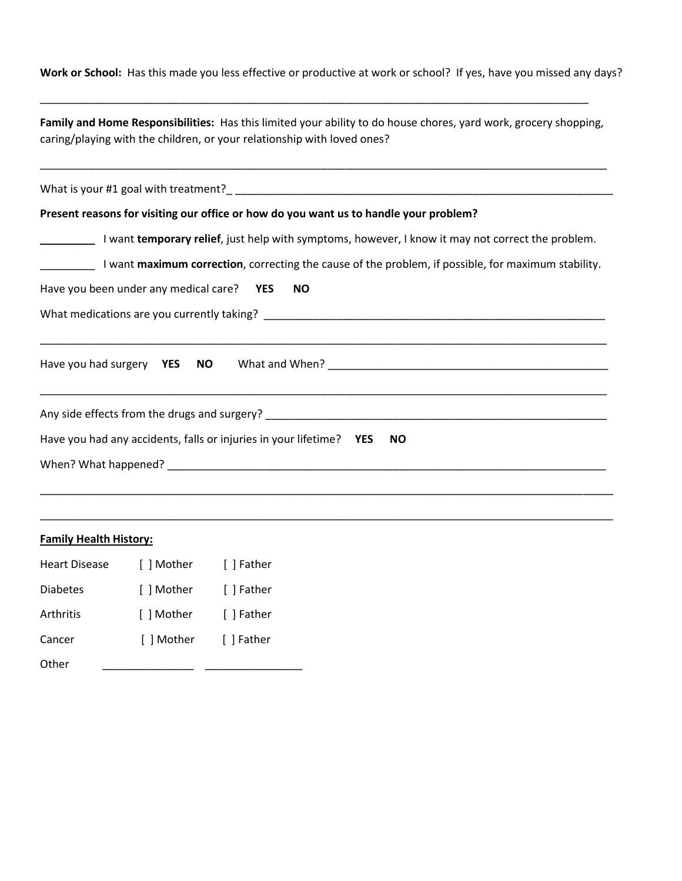**Work or School:** Has this made you less effective or productive at work or school? If yes, have you missed any days?

| Family and Home Responsibilities: Has this limited your ability to do house chores, yard work, grocery shopping, |
|------------------------------------------------------------------------------------------------------------------|
| caring/playing with the children, or your relationship with loved ones?                                          |

\_\_\_\_\_\_\_\_\_\_\_\_\_\_\_\_\_\_\_\_\_\_\_\_\_\_\_\_\_\_\_\_\_\_\_\_\_\_\_\_\_\_\_\_\_\_\_\_\_\_\_\_\_\_\_\_\_\_\_\_\_\_\_\_\_\_\_\_\_\_\_\_\_\_\_\_\_\_\_\_\_\_\_\_\_\_\_\_\_\_\_\_\_

\_\_\_\_\_\_\_\_\_\_\_\_\_\_\_\_\_\_\_\_\_\_\_\_\_\_\_\_\_\_\_\_\_\_\_\_\_\_\_\_\_\_\_\_\_\_\_\_\_\_\_\_\_\_\_\_\_\_\_\_\_\_\_\_\_\_\_\_\_\_\_\_\_\_\_\_\_\_\_\_\_\_\_\_\_\_\_\_\_\_

| Present reasons for visiting our office or how do you want us to handle your problem?                                                                                                                                         |
|-------------------------------------------------------------------------------------------------------------------------------------------------------------------------------------------------------------------------------|
| I want temporary relief, just help with symptoms, however, I know it may not correct the problem.                                                                                                                             |
| I want maximum correction, correcting the cause of the problem, if possible, for maximum stability.                                                                                                                           |
| Have you been under any medical care? YES NO                                                                                                                                                                                  |
|                                                                                                                                                                                                                               |
|                                                                                                                                                                                                                               |
|                                                                                                                                                                                                                               |
|                                                                                                                                                                                                                               |
|                                                                                                                                                                                                                               |
| Have you had any accidents, falls or injuries in your lifetime? YES<br><b>NO</b>                                                                                                                                              |
| When? What happened? Notice that the contract of the contract of the contract of the contract of the contract of the contract of the contract of the contract of the contract of the contract of the contract of the contract |
|                                                                                                                                                                                                                               |

\_\_\_\_\_\_\_\_\_\_\_\_\_\_\_\_\_\_\_\_\_\_\_\_\_\_\_\_\_\_\_\_\_\_\_\_\_\_\_\_\_\_\_\_\_\_\_\_\_\_\_\_\_\_\_\_\_\_\_\_\_\_\_\_\_\_\_\_\_\_\_\_\_\_\_\_\_\_\_\_\_\_\_\_\_\_\_\_\_\_\_\_\_\_

## **Family Health History:**

| <b>Heart Disease</b> | [ ] Mother | [ ] Father |  |
|----------------------|------------|------------|--|
| <b>Diabetes</b>      | [ ] Mother | [ ] Father |  |
| Arthritis            | [ ] Mother | [ ] Father |  |
| Cancer               | [ ] Mother | [ ] Father |  |
| Other                |            |            |  |